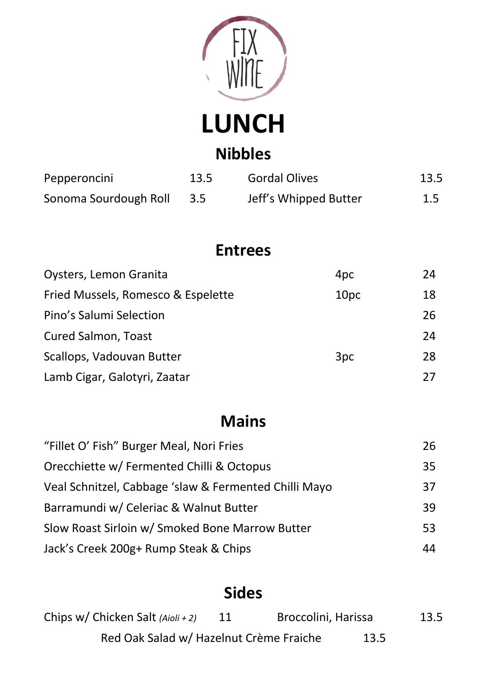

**LUNCH Nibbles**

| Pepperoncini          | 13.5 | <b>Gordal Olives</b>  | 13.5 |
|-----------------------|------|-----------------------|------|
| Sonoma Sourdough Roll | 3.5  | Jeff's Whipped Butter | 1.5  |

## **Entrees**

| Oysters, Lemon Granita             | 4 <sub>pc</sub>  | 24 |
|------------------------------------|------------------|----|
| Fried Mussels, Romesco & Espelette | 10 <sub>pc</sub> | 18 |
| Pino's Salumi Selection            |                  | 26 |
| <b>Cured Salmon, Toast</b>         |                  | 24 |
| Scallops, Vadouvan Butter          | 3pc              | 28 |
| Lamb Cigar, Galotyri, Zaatar       |                  | 27 |

# **Mains**

| "Fillet O' Fish" Burger Meal, Nori Fries              | 26 |
|-------------------------------------------------------|----|
| Orecchiette w/ Fermented Chilli & Octopus             | 35 |
| Veal Schnitzel, Cabbage 'slaw & Fermented Chilli Mayo | 37 |
| Barramundi w/ Celeriac & Walnut Butter                | 39 |
| Slow Roast Sirloin w/ Smoked Bone Marrow Butter       | 53 |
| Jack's Creek 200g+ Rump Steak & Chips                 | 44 |

## **Sides**

| Chips w/ Chicken Salt $(Aioli + 2)$     |      | Broccolini, Harissa | 13.5 |
|-----------------------------------------|------|---------------------|------|
| Red Oak Salad w/ Hazelnut Crème Fraiche | 13.5 |                     |      |